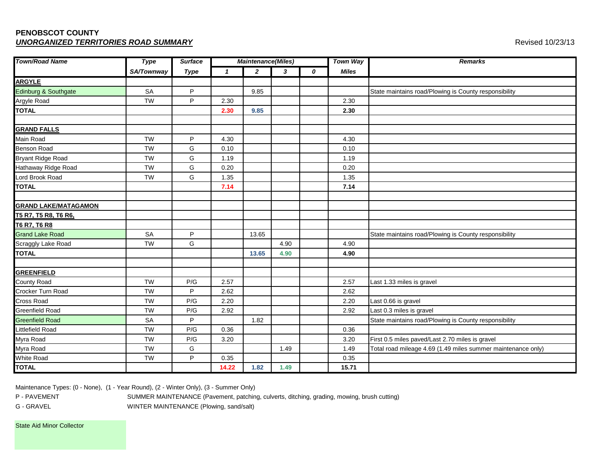## **PENOBSCOT COUNTY** *UNORGANIZED TERRITORIES ROAD SUMMARY* Revised 10/23/13

| <b>Town/Road Name</b>       | <b>Type</b> | <b>Surface</b> | <b>Maintenance(Miles)</b> |                |      |   | <b>Town Way</b> | <b>Remarks</b>                                               |
|-----------------------------|-------------|----------------|---------------------------|----------------|------|---|-----------------|--------------------------------------------------------------|
|                             | SA/Townway  | <b>Type</b>    | $\mathbf{1}$              | $\overline{2}$ | 3    | 0 | <b>Miles</b>    |                                                              |
| <b>ARGYLE</b>               |             |                |                           |                |      |   |                 |                                                              |
| Edinburg & Southgate        | <b>SA</b>   | P              |                           | 9.85           |      |   |                 | State maintains road/Plowing is County responsibility        |
| Argyle Road                 | <b>TW</b>   | P              | 2.30                      |                |      |   | 2.30            |                                                              |
| <b>TOTAL</b>                |             |                | 2.30                      | 9.85           |      |   | 2.30            |                                                              |
|                             |             |                |                           |                |      |   |                 |                                                              |
| <b>GRAND FALLS</b>          |             |                |                           |                |      |   |                 |                                                              |
| Main Road                   | <b>TW</b>   | P              | 4.30                      |                |      |   | 4.30            |                                                              |
| <b>Benson Road</b>          | <b>TW</b>   | G              | 0.10                      |                |      |   | 0.10            |                                                              |
| <b>Bryant Ridge Road</b>    | <b>TW</b>   | G              | 1.19                      |                |      |   | 1.19            |                                                              |
| Hathaway Ridge Road         | <b>TW</b>   | G              | 0.20                      |                |      |   | 0.20            |                                                              |
| Lord Brook Road             | <b>TW</b>   | G              | 1.35                      |                |      |   | 1.35            |                                                              |
| <b>TOTAL</b>                |             |                | 7.14                      |                |      |   | 7.14            |                                                              |
|                             |             |                |                           |                |      |   |                 |                                                              |
| <b>GRAND LAKE/MATAGAMON</b> |             |                |                           |                |      |   |                 |                                                              |
| T5 R7, T5 R8, T6 R6,        |             |                |                           |                |      |   |                 |                                                              |
| T6 R7, T6 R8                |             |                |                           |                |      |   |                 |                                                              |
| <b>Grand Lake Road</b>      | <b>SA</b>   | P              |                           | 13.65          |      |   |                 | State maintains road/Plowing is County responsibility        |
| Scraggly Lake Road          | <b>TW</b>   | G              |                           |                | 4.90 |   | 4.90            |                                                              |
| <b>TOTAL</b>                |             |                |                           | 13.65          | 4.90 |   | 4.90            |                                                              |
|                             |             |                |                           |                |      |   |                 |                                                              |
| <b>GREENFIELD</b>           |             |                |                           |                |      |   |                 |                                                              |
| County Road                 | <b>TW</b>   | P/G            | 2.57                      |                |      |   | 2.57            | Last 1.33 miles is gravel                                    |
| Crocker Turn Road           | <b>TW</b>   | P              | 2.62                      |                |      |   | 2.62            |                                                              |
| Cross Road                  | <b>TW</b>   | P/G            | 2.20                      |                |      |   | 2.20            | Last 0.66 is gravel                                          |
| <b>Greenfield Road</b>      | <b>TW</b>   | P/G            | 2.92                      |                |      |   | 2.92            | Last 0.3 miles is gravel                                     |
| <b>Greenfield Road</b>      | <b>SA</b>   | P              |                           | 1.82           |      |   |                 | State maintains road/Plowing is County responsibility        |
| Littlefield Road            | <b>TW</b>   | P/G            | 0.36                      |                |      |   | 0.36            |                                                              |
| Myra Road                   | <b>TW</b>   | P/G            | 3.20                      |                |      |   | 3.20            | First 0.5 miles paved/Last 2.70 miles is gravel              |
| Myra Road                   | <b>TW</b>   | G              |                           |                | 1.49 |   | 1.49            | Total road mileage 4.69 (1.49 miles summer maintenance only) |
| White Road                  | <b>TW</b>   | P              | 0.35                      |                |      |   | 0.35            |                                                              |
| <b>TOTAL</b>                |             |                | 14.22                     | 1.82           | 1.49 |   | 15.71           |                                                              |

Maintenance Types: (0 - None), (1 - Year Round), (2 - Winter Only), (3 - Summer Only)

P - PAVEMENT SUMMER MAINTENANCE (Pavement, patching, culverts, ditching, grading, mowing, brush cutting) G - GRAVEL WINTER MAINTENANCE (Plowing, sand/salt)

State Aid Minor Collector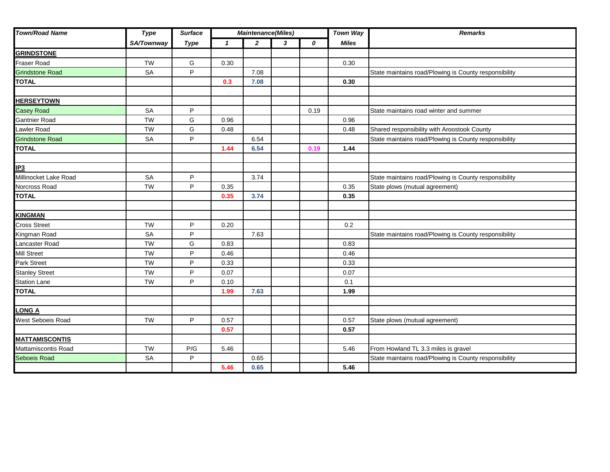| <b>Town/Road Name</b>  | <b>Type</b> | <b>Surface</b> | <b>Maintenance(Miles)</b> |                |                         |      | <b>Town Way</b> | <b>Remarks</b>                                        |
|------------------------|-------------|----------------|---------------------------|----------------|-------------------------|------|-----------------|-------------------------------------------------------|
|                        | SA/Townway  | <b>Type</b>    | $\mathbf{1}$              | $\overline{2}$ | $\overline{\mathbf{3}}$ | 0    | <b>Miles</b>    |                                                       |
| <b>GRINDSTONE</b>      |             |                |                           |                |                         |      |                 |                                                       |
| Fraser Road            | <b>TW</b>   | G              | 0.30                      |                |                         |      | 0.30            |                                                       |
| <b>Grindstone Road</b> | <b>SA</b>   | $\mathsf{P}$   |                           | 7.08           |                         |      |                 | State maintains road/Plowing is County responsibility |
| <b>TOTAL</b>           |             |                | 0.3                       | 7.08           |                         |      | 0.30            |                                                       |
|                        |             |                |                           |                |                         |      |                 |                                                       |
| <b>HERSEYTOWN</b>      |             |                |                           |                |                         |      |                 |                                                       |
| Casey Road             | <b>SA</b>   | P              |                           |                |                         | 0.19 |                 | State maintains road winter and summer                |
| Gantnier Road          | <b>TW</b>   | G              | 0.96                      |                |                         |      | 0.96            |                                                       |
| Lawler Road            | <b>TW</b>   | G              | 0.48                      |                |                         |      | 0.48            | Shared responsibility with Aroostook County           |
| <b>Grindstone Road</b> | <b>SA</b>   | P              |                           | 6.54           |                         |      |                 | State maintains road/Plowing is County responsibility |
| <b>TOTAL</b>           |             |                | 1.44                      | 6.54           |                         | 0.19 | 1.44            |                                                       |
|                        |             |                |                           |                |                         |      |                 |                                                       |
| <u>IP3</u>             |             |                |                           |                |                         |      |                 |                                                       |
| Millinocket Lake Road  | <b>SA</b>   | P              |                           | 3.74           |                         |      |                 | State maintains road/Plowing is County responsibility |
| Norcross Road          | <b>TW</b>   | P              | 0.35                      |                |                         |      | 0.35            | State plows (mutual agreement)                        |
| <b>TOTAL</b>           |             |                | 0.35                      | 3.74           |                         |      | 0.35            |                                                       |
|                        |             |                |                           |                |                         |      |                 |                                                       |
| <b>KINGMAN</b>         |             |                |                           |                |                         |      |                 |                                                       |
| <b>Cross Street</b>    | <b>TW</b>   | P              | 0.20                      |                |                         |      | 0.2             |                                                       |
| Kingman Road           | SA          | P              |                           | 7.63           |                         |      |                 | State maintains road/Plowing is County responsibility |
| Lancaster Road         | TW          | G              | 0.83                      |                |                         |      | 0.83            |                                                       |
| Mill Street            | <b>TW</b>   | P              | 0.46                      |                |                         |      | 0.46            |                                                       |
| Park Street            | <b>TW</b>   | P              | 0.33                      |                |                         |      | 0.33            |                                                       |
| <b>Stanley Street</b>  | <b>TW</b>   | P              | 0.07                      |                |                         |      | 0.07            |                                                       |
| <b>Station Lane</b>    | <b>TW</b>   | P              | 0.10                      |                |                         |      | 0.1             |                                                       |
| <b>TOTAL</b>           |             |                | 1.99                      | 7.63           |                         |      | 1.99            |                                                       |
|                        |             |                |                           |                |                         |      |                 |                                                       |
| LONG A                 |             |                |                           |                |                         |      |                 |                                                       |
| West Seboeis Road      | <b>TW</b>   | P              | 0.57                      |                |                         |      | 0.57            | State plows (mutual agreement)                        |
|                        |             |                | 0.57                      |                |                         |      | 0.57            |                                                       |
| <b>MATTAMISCONTIS</b>  |             |                |                           |                |                         |      |                 |                                                       |
| Mattamiscontis Road    | <b>TW</b>   | P/G            | 5.46                      |                |                         |      | 5.46            | From Howland TL 3.3 miles is gravel                   |
| Seboeis Road           | <b>SA</b>   | P              |                           | 0.65           |                         |      |                 | State maintains road/Plowing is County responsibility |
|                        |             |                | 5.46                      | 0.65           |                         |      | 5.46            |                                                       |